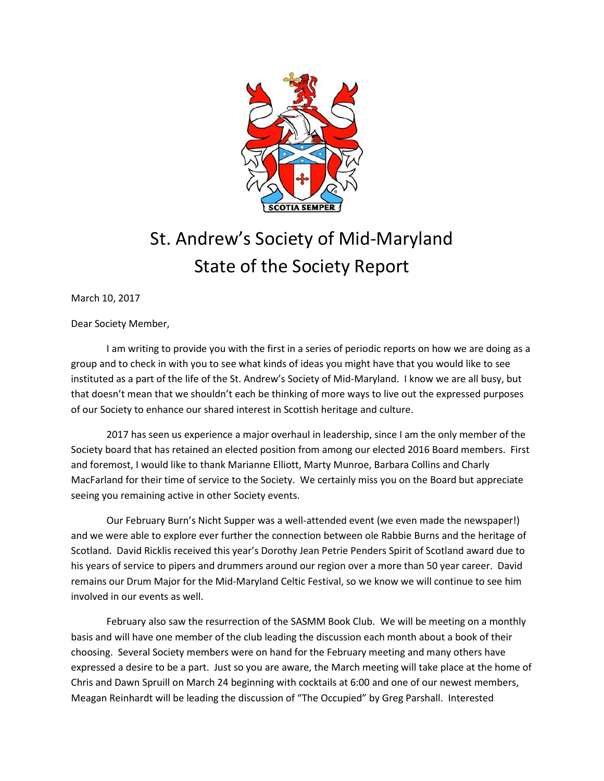

## St. Andrew's Society of Mid-Maryland State of the Society Report

March 10, 2017

Dear Society Member,

I am writing to provide you with the first in a series of periodic reports on how we are doing as a group and to check in with you to see what kinds of ideas you might have that you would like to see instituted as a part of the life of the St. Andrew's Society of Mid-Maryland. I know we are all busy, but that doesn't mean that we shouldn't each be thinking of more ways to live out the expressed purposes of our Society to enhance our shared interest in Scottish heritage and culture.

2017 has seen us experience a major overhaul in leadership, since I am the only member of the Society board that has retained an elected position from among our elected 2016 Board members. First and foremost, I would like to thank Marianne Elliott, Marty Munroe, Barbara Collins and Charly MacFarland for their time of service to the Society. We certainly miss you on the Board but appreciate seeing you remaining active in other Society events.

Our February Burn's Nicht Supper was a well-attended event (we even made the newspaper!) and we were able to explore ever further the connection between ole Rabbie Burns and the heritage of Scotland. David Ricklis received this year's Dorothy Jean Petrie Penders Spirit of Scotland award due to his years of service to pipers and drummers around our region over a more than 50 year career. David remains our Drum Major for the Mid-Maryland Celtic Festival, so we know we will continue to see him involved in our events as well.

February also saw the resurrection of the SASMM Book Club. We will be meeting on a monthly basis and will have one member of the club leading the discussion each month about a book of their choosing. Several Society members were on hand for the February meeting and many others have expressed a desire to be a part. Just so you are aware, the March meeting will take place at the home of Chris and Dawn Spruill on March 24 beginning with cocktails at 6:00 and one of our newest members, Meagan Reinhardt will be leading the discussion of "The Occupied" by Greg Parshall. Interested